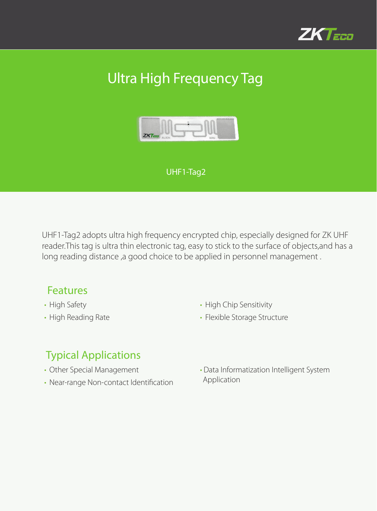

# Ultra High Frequency Tag



#### UHF1-Tag2

UHF1-Tag2 adopts ultra high frequency encrypted chip, especially designed for ZK UHF reader.This tag is ultra thin electronic tag, easy to stick to the surface of objects,and has a long reading distance ,a good choice to be applied in personnel management .

### Features

- High Safety
- High Reading Rate
- High Chip Sensitivity
- Flexible Storage Structure

### Typical Applications

- Other Special Management
- Near-range Non-contact Identification
- Data Informatization Intelligent System Application